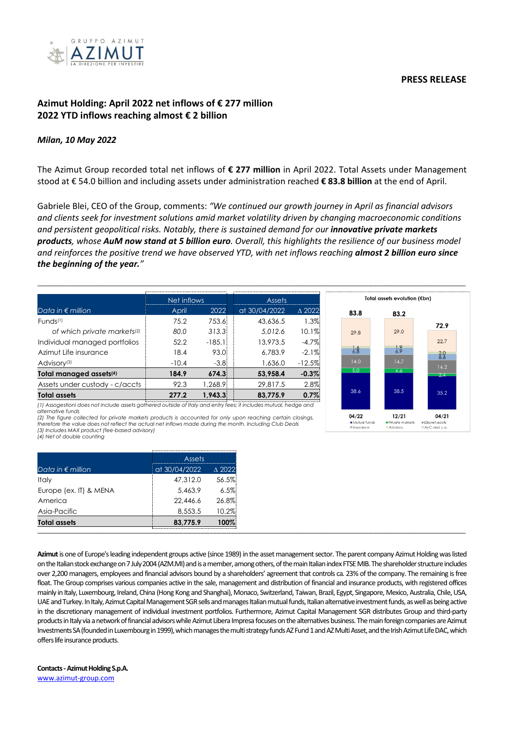# **PRESS RELEASE**



# **Azimut Holding: April 2022 net inflows of € 277 million 2022 YTD inflows reaching almost € 2 billion**

### *Milan, 10 May 2022*

The Azimut Group recorded total net inflows of **€ 277 million** in April 2022. Total Assets under Management stood at € 54.0 billion and including assets under administration reached **€ 83.8 billion** at the end of April.

Gabriele Blei, CEO of the Group, comments: *"We continued our growth journey in April as financial advisors and clients seek for investment solutions amid market volatility driven by changing macroeconomic conditions and persistent geopolitical risks. Notably, there is sustained demand for our innovative private markets products, whose AuM now stand at 5 billion euro. Overall, this highlights the resilience of our business model and reinforces the positive trend we have observed YTD, with net inflows reaching almost 2 billion euro since the beginning of the year."*

|                                         | Net inflows |          | Assets        |                  |
|-----------------------------------------|-------------|----------|---------------|------------------|
| Data in $\epsilon$ million              | April       | 2022     | at 30/04/2022 | $\triangle$ 2022 |
| Funds <sup>(1)</sup>                    | 75.2        | 753.6    | 43,636.5      | 1.3%             |
| of which private markets <sup>(2)</sup> | 80.0        | 313.3    | 5.012.6       | 10.1%            |
| Individual managed portfolios           | 52.2        | $-185.1$ | 13,973.5      | $-4.7\%$         |
| Azimut Life insurance                   | 18.4        | 93.0     | 6.783.9       | $-2.1\%$         |
| Advisory <sup>(3)</sup>                 | $-10.4$     | $-3.8$   | 1,636.0       | $-12.5%$         |
| Total managed assets <sup>(4)</sup>     | 184.9       | 674.3    | 53,958.4      | $-0.3%$          |
| Assets under custody - c/accts          | 92.3        | 1.268.91 | 29,817.5      | 2.8%             |
| <b>Total assets</b>                     | 277.2       | 1.943.3  | 83.775.9      | 0.7%             |

*(1) Assogestioni does not include assets gathered outside of Italy and entry fees; it includes mutual, hedge and alternative funds*

*(2) The figure collected for private markets products is accounted for only upon reaching certain closings, therefore the value does not reflect the actual net inflows made during the month. Including Club Deals (3) Includes MAX product (fee-based advisory)* 

*(4) Net of double counting*

|                            | <b>Assets</b> |                  |
|----------------------------|---------------|------------------|
| Data in $\epsilon$ million | at 30/04/2022 | $\triangle$ 2022 |
| Italy                      | 47,312.0      | 56.5%            |
| Europe (ex. IT) & MENA     | 5,463.9       | 6.5%             |
| America                    | 22,446.6      | 26.8%            |
| Asia-Pacific               | 8,553.5       | 10.2%            |
| <b>Total assets</b>        | 83,775.9      | 100%             |
|                            |               |                  |